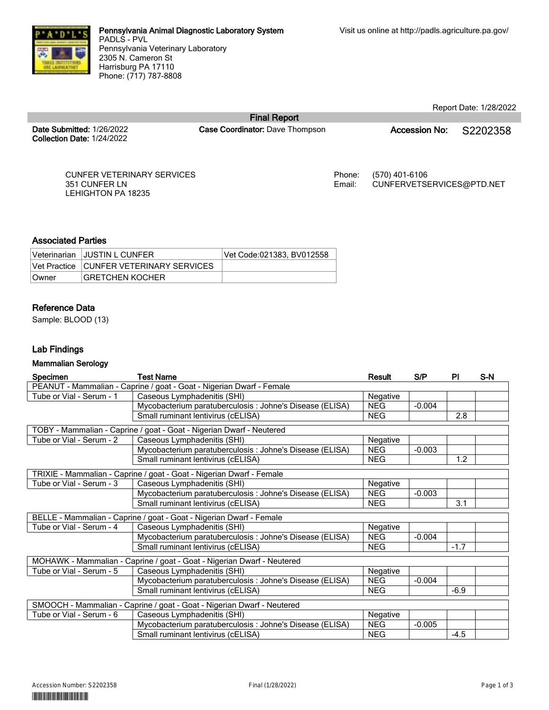

Report Date: 1/28/2022

**Date Submitted:** 1/26/2022 **Collection Date:** 1/24/2022 **Final Report**

**Case Coordinator:** Dave Thompson **Accession No:** S2202358

CUNFER VETERINARY SERVICES 351 CUNFER LN LEHIGHTON PA 18235

Phone: (570) 401-6106 Email: CUNFERVETSERVICES@PTD.NET

## **Associated Parties**

|        | Veterinarian JJUSTIN L CUNFER           | Vet Code:021383. BV012558 |
|--------|-----------------------------------------|---------------------------|
|        | Vet Practice CUNFER VETERINARY SERVICES |                           |
| ∣Owner | <b>GRETCHEN KOCHER</b>                  |                           |

# **Reference Data**

Sample: BLOOD (13)

## **Lab Findings**

#### **Mammalian Serology**

| Specimen                 | <b>Test Name</b>                                                       | Result     | S/P      | PI     | S-N |
|--------------------------|------------------------------------------------------------------------|------------|----------|--------|-----|
|                          | PEANUT - Mammalian - Caprine / goat - Goat - Nigerian Dwarf - Female   |            |          |        |     |
| Tube or Vial - Serum - 1 | Caseous Lymphadenitis (SHI)                                            | Negative   |          |        |     |
|                          | Mycobacterium paratuberculosis : Johne's Disease (ELISA)               | <b>NEG</b> | $-0.004$ |        |     |
|                          | Small ruminant lentivirus (cELISA)                                     | <b>NEG</b> |          | 2.8    |     |
|                          | TOBY - Mammalian - Caprine / goat - Goat - Nigerian Dwarf - Neutered   |            |          |        |     |
| Tube or Vial - Serum - 2 | Negative<br>Caseous Lymphadenitis (SHI)                                |            |          |        |     |
|                          | Mycobacterium paratuberculosis : Johne's Disease (ELISA)               | <b>NEG</b> | $-0.003$ |        |     |
|                          | Small ruminant lentivirus (cELISA)                                     | <b>NEG</b> |          | 1.2    |     |
|                          | TRIXIE - Mammalian - Caprine / goat - Goat - Nigerian Dwarf - Female   |            |          |        |     |
| Tube or Vial - Serum - 3 | Caseous Lymphadenitis (SHI)                                            | Negative   |          |        |     |
|                          | Mycobacterium paratuberculosis : Johne's Disease (ELISA)               | <b>NEG</b> | $-0.003$ |        |     |
|                          | Small ruminant lentivirus (cELISA)                                     | <b>NEG</b> |          | 3.1    |     |
|                          | BELLE - Mammalian - Caprine / goat - Goat - Nigerian Dwarf - Female    |            |          |        |     |
| Tube or Vial - Serum - 4 | Caseous Lymphadenitis (SHI)<br>Negative                                |            |          |        |     |
|                          | Mycobacterium paratuberculosis : Johne's Disease (ELISA)               | <b>NEG</b> | $-0.004$ |        |     |
|                          | Small ruminant lentivirus (cELISA)                                     | <b>NEG</b> |          | $-1.7$ |     |
|                          | MOHAWK - Mammalian - Caprine / goat - Goat - Nigerian Dwarf - Neutered |            |          |        |     |
| Tube or Vial - Serum - 5 | Caseous Lymphadenitis (SHI)                                            | Negative   |          |        |     |
|                          | Mycobacterium paratuberculosis : Johne's Disease (ELISA)               | <b>NEG</b> | $-0.004$ |        |     |
|                          | Small ruminant lentivirus (cELISA)                                     | <b>NEG</b> |          | $-6.9$ |     |
|                          | SMOOCH - Mammalian - Caprine / goat - Goat - Nigerian Dwarf - Neutered |            |          |        |     |
| Tube or Vial - Serum - 6 | Caseous Lymphadenitis (SHI)                                            | Negative   |          |        |     |
|                          | Mycobacterium paratuberculosis : Johne's Disease (ELISA)               | <b>NEG</b> | $-0.005$ |        |     |
|                          | Small ruminant lentivirus (cELISA)                                     | <b>NEG</b> |          | $-4.5$ |     |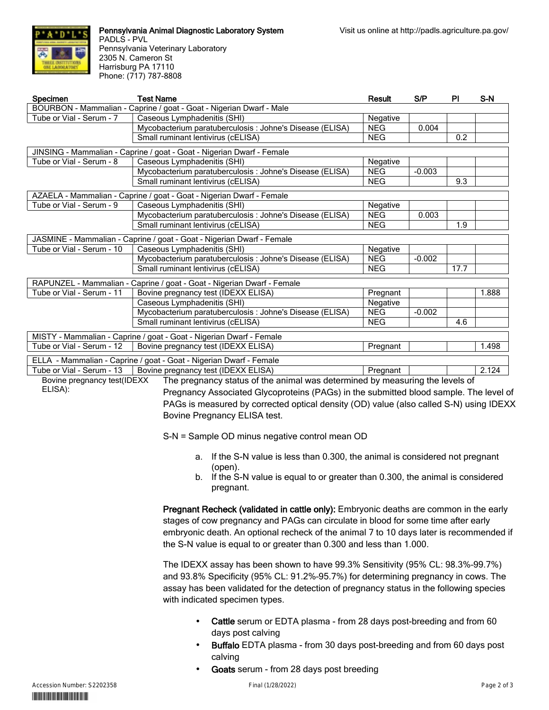

**Pennsylvania Animal Diagnostic Laboratory System** PADLS - PVL Pennsylvania Veterinary Laboratory 2305 N. Cameron St Harrisburg PA 17110 Phone: (717) 787-8808

| <b>Specimen</b>           | <b>Test Name</b>                                                                                         | Result     | S/P      | <b>PI</b> | S-N   |
|---------------------------|----------------------------------------------------------------------------------------------------------|------------|----------|-----------|-------|
|                           | BOURBON - Mammalian - Caprine / goat - Goat - Nigerian Dwarf - Male                                      |            |          |           |       |
| Tube or Vial - Serum - 7  | Caseous Lymphadenitis (SHI)                                                                              | Negative   |          |           |       |
|                           | Mycobacterium paratuberculosis : Johne's Disease (ELISA)                                                 | <b>NEG</b> | 0.004    |           |       |
|                           | Small ruminant lentivirus (cELISA)                                                                       | <b>NEG</b> |          | 0.2       |       |
|                           | JINSING - Mammalian - Caprine / goat - Goat - Nigerian Dwarf - Female                                    |            |          |           |       |
| Tube or Vial - Serum - 8  | Caseous Lymphadenitis (SHI)                                                                              | Negative   |          |           |       |
|                           | Mycobacterium paratuberculosis : Johne's Disease (ELISA)                                                 | <b>NEG</b> | $-0.003$ |           |       |
|                           | Small ruminant lentivirus (cELISA)                                                                       | <b>NEG</b> |          | 9.3       |       |
|                           | AZAELA - Mammalian - Caprine / goat - Goat - Nigerian Dwarf - Female                                     |            |          |           |       |
| Tube or Vial - Serum - 9  | Caseous Lymphadenitis (SHI)                                                                              | Negative   |          |           |       |
|                           | Mycobacterium paratuberculosis : Johne's Disease (ELISA)                                                 | <b>NEG</b> | 0.003    |           |       |
|                           | Small ruminant lentivirus (cELISA)                                                                       | <b>NEG</b> |          | 1.9       |       |
|                           | JASMINE - Mammalian - Caprine / goat - Goat - Nigerian Dwarf - Female                                    |            |          |           |       |
| Tube or Vial - Serum - 10 | Caseous Lymphadenitis (SHI)                                                                              | Negative   |          |           |       |
|                           | Mycobacterium paratuberculosis : Johne's Disease (ELISA)                                                 | <b>NEG</b> | $-0.002$ |           |       |
|                           | Small ruminant lentivirus (cELISA)                                                                       | <b>NEG</b> |          | 17.7      |       |
|                           | RAPUNZEL - Mammalian - Caprine / goat - Goat - Nigerian Dwarf - Female                                   |            |          |           |       |
| Tube or Vial - Serum - 11 | Bovine pregnancy test (IDEXX ELISA)                                                                      | Pregnant   |          |           | 1.888 |
|                           | Caseous Lymphadenitis (SHI)                                                                              | Negative   |          |           |       |
|                           | Mycobacterium paratuberculosis : Johne's Disease (ELISA)                                                 | <b>NEG</b> | $-0.002$ |           |       |
|                           | Small ruminant lentivirus (cELISA)                                                                       | <b>NEG</b> |          | 4.6       |       |
|                           | MISTY - Mammalian - Caprine / goat - Goat - Nigerian Dwarf - Female                                      |            |          |           |       |
| Tube or Vial - Serum - 12 | Bovine pregnancy test (IDEXX ELISA)                                                                      | Pregnant   |          |           | 1.498 |
|                           | ELLA - Mammalian - Caprine / goat - Goat - Nigerian Dwarf - Female                                       |            |          |           |       |
| Tube or Vial - Serum - 13 | Bovine pregnancy test (IDEXX ELISA)                                                                      | Pregnant   |          |           | 2.124 |
|                           | Bovine pregnancy test(IDEXX The pregnancy status of the animal was determined by measuring the levels of |            |          |           |       |

Bovine pregnancy test(IDEXX ELISA):

The pregnancy status of the animal was determined by measuring the levels of Pregnancy Associated Glycoproteins (PAGs) in the submitted blood sample. The level of PAGs is measured by corrected optical density (OD) value (also called S-N) using IDEXX Bovine Pregnancy ELISA test.

S-N = Sample OD minus negative control mean OD

- a. If the S-N value is less than 0.300, the animal is considered not pregnant (open).
- b. If the S-N value is equal to or greater than 0.300, the animal is considered pregnant.

**Pregnant Recheck (validated in cattle only):** Embryonic deaths are common in the early stages of cow pregnancy and PAGs can circulate in blood for some time after early embryonic death. An optional recheck of the animal 7 to 10 days later is recommended if the S-N value is equal to or greater than 0.300 and less than 1.000.

The IDEXX assay has been shown to have 99.3% Sensitivity (95% CL: 98.3%–99.7%) and 93.8% Specificity (95% CL: 91.2%–95.7%) for determining pregnancy in cows. The assay has been validated for the detection of pregnancy status in the following species with indicated specimen types.

- **Cattle** serum or EDTA plasma from 28 days post-breeding and from 60 days post calving
- **Buffalo** EDTA plasma from 30 days post-breeding and from 60 days post calving
- **Goats** serum from 28 days post breeding